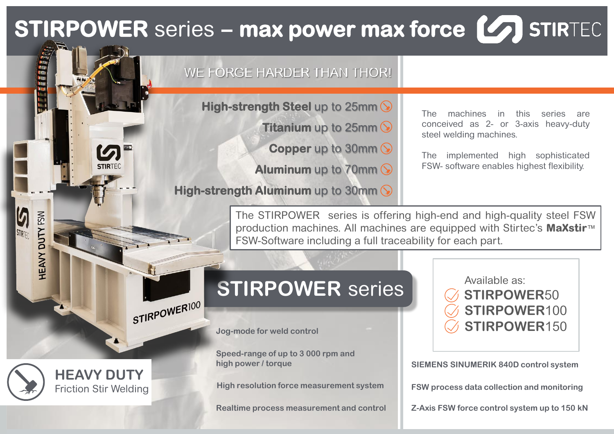## **STIRPOWER** series – max power max force (47) STIRTEC

### WE FORGE HARDER THAN THOR!

**High-strength Steel** up to 25mm

**Titanium** up to 25mm  $\Diamond$ 

**Copper** up to 30mm (

**Aluminum** up to 70mm

**High-strength Aluminum** up to 30mm

The machines in this series are conceived as 2- or 3-axis heavy-duty steel welding machines.

The implemented high sophisticated FSW- software enables highest flexibility.

The STIRPOWER series is offering high-end and high-quality steel FSW production machines. All machines are equipped with Stirtec's **MaXstir**™ FSW-Software including a full traceability for each part.

### **STIRPOWER** series

**Jog-mode for weld control**

**Speed-range of up to 3 000 rpm and high power / torque**

**High resolution force measurement system**

**Realtime process measurement and control**

Available as: **STIRPOWER**50 **STIRPOWER**100 **STIRPOWER**150

**SIEMENS SINUMERIK 840D control system**

**FSW process data collection and monitoring**

**Z-Axis FSW force control system up to 150 kN**

**HEAVY DUTY** Friction Stir Welding

STIRPOWER100

**ROOM** 

DUTY FSW

HEAVY